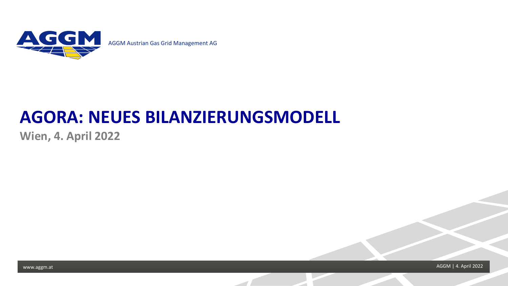

# **AGORA: NEUES BILANZIERUNGSMODELL**<br>Wien, 4. April 2022<br>WWW.aggm.at

**Wien, 4. April 2022**

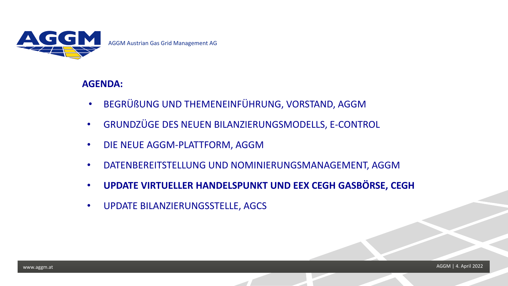

AGGM Austrian Gas Grid Management AG

- BEGRÜßUNG UND THEMENEINFÜHRUNG, VORSTAND, AGGM
- GRUNDZÜGE DES NEUEN BILANZIERUNGSMODELLS, E-CONTROL
- DIE NEUE AGGM-PLATTFORM, AGGM
- DATENBEREITSTELLUNG UND NOMINIERUNGSMANAGEMENT, AGGM
- AGENDA:<br>
BEGRÜßUNG UND THEMENEINFÜHRUNG, VORSTAND, AGGM<br>
GRUNDZÜGE DES NEUEN BILANZIERUNGSMODELLS, E-CONTROL<br>
DIE NEUE AGGM-PLATTFORM, AGGM<br>
DATENBEREITSTELLUNG UND NOMINIERUNGSMANAGEMENT, AGGM<br>
UPDATE BILANZIERU • **UPDATE VIRTUELLER HANDELSPUNKT UND EEX CEGH GASBÖRSE, CEGH**
	- UPDATE BILANZIERUNGSSTELLE, AGCS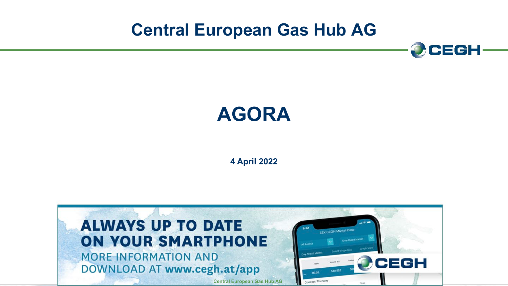**Central European Gas Hub AG**





**4 April 2022**

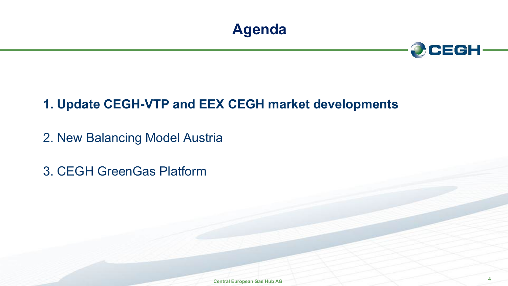



# **1. Update CEGH-VTP and EEX CEGH market developments**

2. New Balancing Model Austria

3. CEGH GreenGas Platform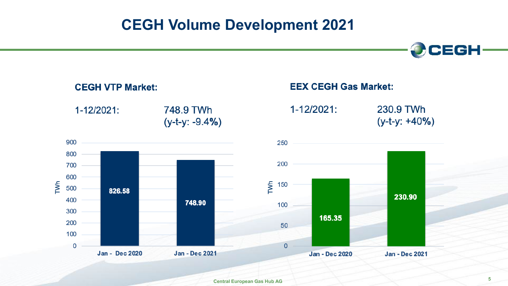# **CEGH Volume Development 2021**



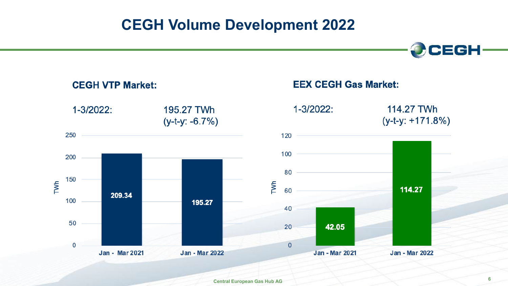# **CEGH Volume Development 2022**



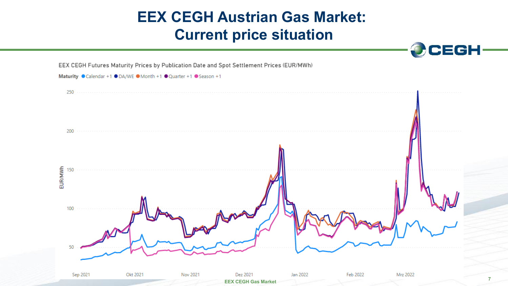# **EEX CEGH Austrian Gas Market: Current price situation**



OCEGH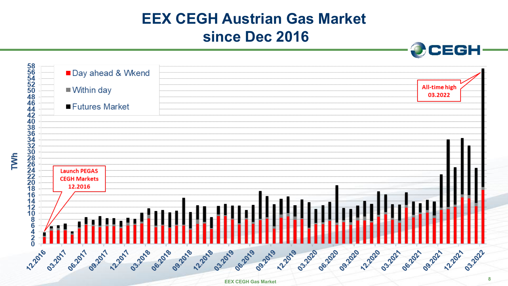# **EEX CEGH Austrian Gas Market since Dec 2016**

OCEGH

| 58<br>56<br>54<br>52<br>50<br>■ Day ahead & Wkend<br>$\blacksquare$ Within day                                                                                                                                                                                                                                                                      | All-time high<br>03.2022                |
|-----------------------------------------------------------------------------------------------------------------------------------------------------------------------------------------------------------------------------------------------------------------------------------------------------------------------------------------------------|-----------------------------------------|
| 48<br>$\frac{46}{44}$<br>■ Futures Market                                                                                                                                                                                                                                                                                                           |                                         |
| 40<br>3834<br>3320<br>3220<br>2222<br>2222<br>3<br><b>Launch PEGAS</b><br><b>CEGH Markets</b><br>12.2016<br>16<br>14<br>11<br>10<br>6<br>6<br>12.2016<br>06.2018<br>03.2018<br>09.2018<br>12-2018<br>03.2019<br>062019<br>062020<br>09.2017<br>09.2019<br>12.2019<br>03.2020<br>06.2017<br>122017<br><b>122020</b><br>03.2017<br>09.2020<br>03.2021 | 09.2021<br>03.2022<br>12-2021<br>062021 |
| <b>EEX CEGH Gas Market</b>                                                                                                                                                                                                                                                                                                                          |                                         |

**TVh**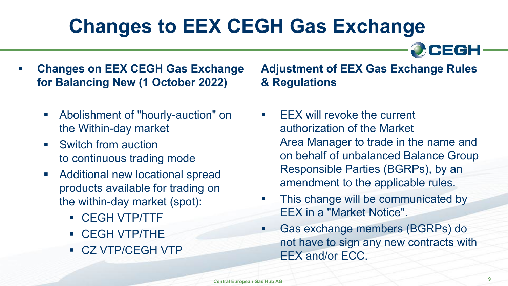# **Changes to EEX CEGH Gas Exchange**

CEGH

- **Changes on EEX CEGH Gas Exchange for Balancing New (1 October 2022)**
	- Abolishment of "hourly-auction" on the Within-day market
	- Switch from auction to continuous trading mode
	- **Additional new locational spread** products available for trading on the within-day market (spot):
		- CEGH VTP/TTF
		- CEGH VTP/THE
		- CZ VTP/CEGH VTP

## **Adjustment of EEX Gas Exchange Rules & Regulations**

- EEX will revoke the current authorization of the Market Area Manager to trade in the name and on behalf of unbalanced Balance Group Responsible Parties (BGRPs), by an amendment to the applicable rules.
- This change will be communicated by EEX in a "Market Notice".
- Gas exchange members (BGRPs) do not have to sign any new contracts with EEX and/or ECC.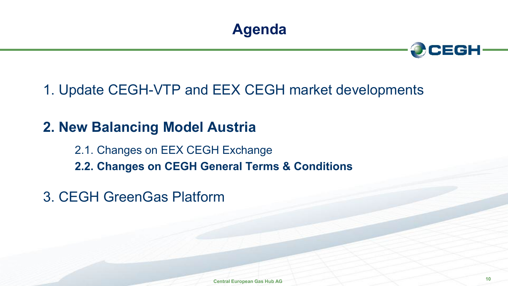



# 1. Update CEGH-VTP and EEX CEGH market developments

# **2. New Balancing Model Austria**

2.1. Changes on EEX CEGH Exchange **2.2. Changes on CEGH General Terms & Conditions**

3. CEGH GreenGas Platform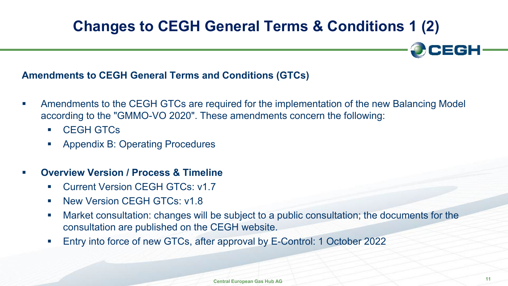# **Changes to CEGH General Terms & Conditions 1 (2)**

### **Amendments to CEGH General Terms and Conditions (GTCs)**

- Amendments to the CEGH GTCs are required for the implementation of the new Balancing Model according to the "GMMO-VO 2020". These amendments concern the following:
	- CEGH GTCs
	- **Appendix B: Operating Procedures**
- **Overview Version / Process & Timeline**
	- Current Version CEGH GTCs: v1.7
	- **New Version CEGH GTCs: v1.8**
	- Market consultation: changes will be subject to a public consultation; the documents for the consultation are published on the CEGH website.
	- Entry into force of new GTCs, after approval by E-Control: 1 October 2022

**CEGH**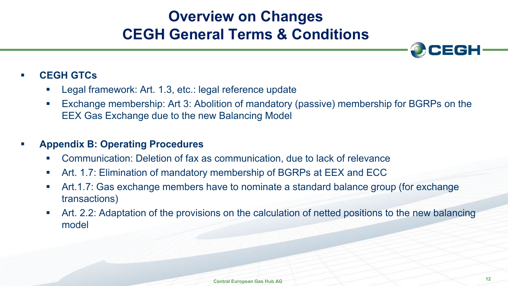# **Overview on Changes CEGH General Terms & Conditions**



### **CEGH GTCs**

- Legal framework: Art. 1.3, etc.: legal reference update
- Exchange membership: Art 3: Abolition of mandatory (passive) membership for BGRPs on the EEX Gas Exchange due to the new Balancing Model

### **Appendix B: Operating Procedures**

- Communication: Deletion of fax as communication, due to lack of relevance
- Art. 1.7: Elimination of mandatory membership of BGRPs at EEX and ECC
- Art.1.7: Gas exchange members have to nominate a standard balance group (for exchange transactions)
- Art. 2.2: Adaptation of the provisions on the calculation of netted positions to the new balancing model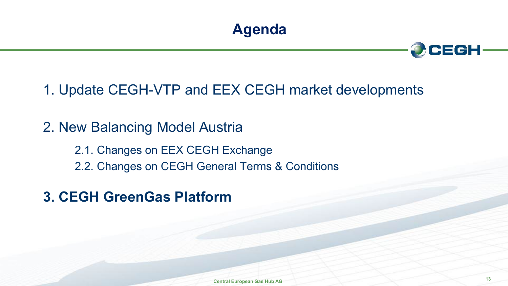



1. Update CEGH-VTP and EEX CEGH market developments

2. New Balancing Model Austria

2.1. Changes on EEX CEGH Exchange 2.2. Changes on CEGH General Terms & Conditions

**3. CEGH GreenGas Platform**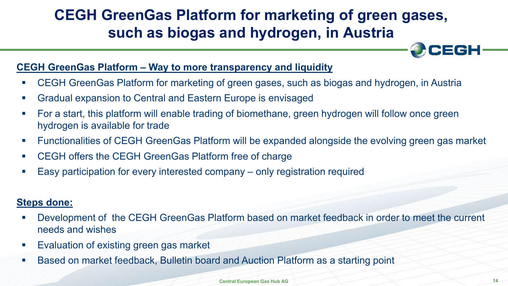# **CEGH GreenGas Platform for marketing of green gases, such as biogas and hydrogen, in Austria**

### **CEGH GreenGas Platform – Way to more transparency and liquidity**

- CEGH GreenGas Platform for marketing of green gases, such as biogas and hydrogen, in Austria
- Gradual expansion to Central and Eastern Europe is envisaged
- For a start, this platform will enable trading of biomethane, green hydrogen will follow once green hydrogen is available for trade
- Functionalities of CEGH GreenGas Platform will be expanded alongside the evolving green gas market
- CEGH offers the CEGH GreenGas Platform free of charge
- Easy participation for every interested company only registration required

### **Steps done:**

- Development of the CEGH GreenGas Platform based on market feedback in order to meet the current needs and wishes
- **Evaluation of existing green gas market**
- Based on market feedback, Bulletin board and Auction Platform as a starting point

**EGH**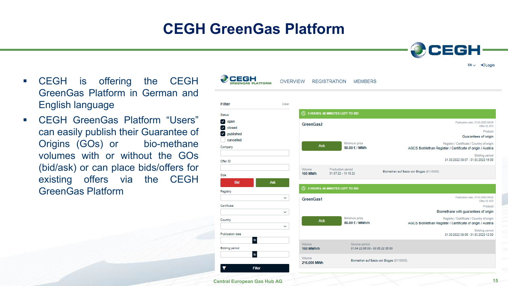Filter

Status  $\vee$  open

Company

Offer ID

Side

Registry

Certificate

Country

**CEGH** is offering the CEGH GreenGas Platform in German and English language

 CEGH GreenGas Platform "Users" can easily publish their Guarantee of Origins (GOs) or bio-methane volumes with or without the GOs (bid/ask) or can place bids/offers for existing offers via the CEGH GreenGas Platform



**CEGH**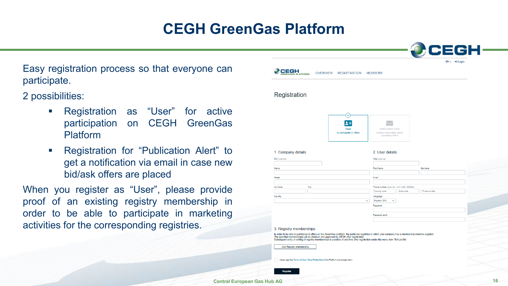Easy registration process so that everyone can participate.

2 possibilities:

- **Registration as "User" for active** participation on CEGH GreenGas Platform
- **Registration for "Publication Alert" to** get a notification via email in case new bid/ask offers are placed

When you register as "User", please provide proof of an existing registry membership in order to be able to participate in marketing activities for the corresponding registries.

| <b>JGAS PLATFORM</b>    | <b>OVERVIEW</b>                                                                                                                                                                                                                                                                                                                                                                       | <b>REGISTRATION</b><br><b>MEMBERS</b> |                                                                          |                                                           |              |  |
|-------------------------|---------------------------------------------------------------------------------------------------------------------------------------------------------------------------------------------------------------------------------------------------------------------------------------------------------------------------------------------------------------------------------------|---------------------------------------|--------------------------------------------------------------------------|-----------------------------------------------------------|--------------|--|
| Registration            |                                                                                                                                                                                                                                                                                                                                                                                       |                                       |                                                                          |                                                           |              |  |
|                         |                                                                                                                                                                                                                                                                                                                                                                                       | ✓<br>User<br>to participate in offers | <b>Publication alert</b><br>receive information about<br>upcoming offers |                                                           |              |  |
| 1. Company details      |                                                                                                                                                                                                                                                                                                                                                                                       |                                       | 2. User details                                                          |                                                           |              |  |
| EIC (optional)          |                                                                                                                                                                                                                                                                                                                                                                                       |                                       | Title (optional)                                                         |                                                           |              |  |
|                         |                                                                                                                                                                                                                                                                                                                                                                                       |                                       |                                                                          |                                                           |              |  |
| Name                    |                                                                                                                                                                                                                                                                                                                                                                                       | <b>First Name</b>                     |                                                                          |                                                           | Surname      |  |
|                         |                                                                                                                                                                                                                                                                                                                                                                                       |                                       |                                                                          |                                                           |              |  |
| Street                  |                                                                                                                                                                                                                                                                                                                                                                                       | Email                                 |                                                                          |                                                           |              |  |
|                         |                                                                                                                                                                                                                                                                                                                                                                                       |                                       |                                                                          |                                                           |              |  |
| Zip Code                | City                                                                                                                                                                                                                                                                                                                                                                                  |                                       | Country code                                                             | Phone number (optional - +43 / 999 / 999999)<br>Area code | Phone number |  |
| Country                 |                                                                                                                                                                                                                                                                                                                                                                                       | Language                              |                                                                          |                                                           |              |  |
|                         |                                                                                                                                                                                                                                                                                                                                                                                       | $\checkmark$                          | Englisch (EN)<br>v                                                       |                                                           |              |  |
|                         |                                                                                                                                                                                                                                                                                                                                                                                       | Password                              |                                                                          |                                                           |              |  |
|                         |                                                                                                                                                                                                                                                                                                                                                                                       |                                       |                                                                          |                                                           |              |  |
|                         |                                                                                                                                                                                                                                                                                                                                                                                       |                                       | Password verify                                                          |                                                           |              |  |
|                         |                                                                                                                                                                                                                                                                                                                                                                                       |                                       |                                                                          |                                                           |              |  |
|                         |                                                                                                                                                                                                                                                                                                                                                                                       |                                       |                                                                          |                                                           |              |  |
| 3. Registry memberships |                                                                                                                                                                                                                                                                                                                                                                                       |                                       |                                                                          |                                                           |              |  |
|                         | In order to be able to participate in offers on the GreenGas platform, the particular registries in which your company has a membership must be supplied.<br>The specified memberships will be checked and approved by CEGH after registration.<br>Subsequent entry or editing of registry memberships is possible at any time after registration under the menu item "Edit profile". |                                       |                                                                          |                                                           |              |  |
|                         |                                                                                                                                                                                                                                                                                                                                                                                       |                                       |                                                                          |                                                           |              |  |
| Add Registry membership |                                                                                                                                                                                                                                                                                                                                                                                       |                                       |                                                                          |                                                           |              |  |
|                         |                                                                                                                                                                                                                                                                                                                                                                                       |                                       |                                                                          |                                                           |              |  |
|                         | I have read the Terms of Use / Data Protection of the Platform and accept them.                                                                                                                                                                                                                                                                                                       |                                       |                                                                          |                                                           |              |  |
|                         |                                                                                                                                                                                                                                                                                                                                                                                       |                                       |                                                                          |                                                           |              |  |
| Register                |                                                                                                                                                                                                                                                                                                                                                                                       |                                       |                                                                          |                                                           |              |  |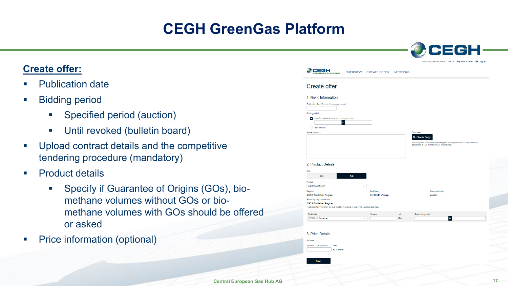### **Create offer:**

- Publication date
- **Bidding period** 
	- **Specified period (auction)**
	- **Until revoked (bulletin board)**
- **Upload contract details and the competitive** tendering procedure (mandatory)
- **Product details** 
	- **Specify if Guarantee of Origins (GOs), bio**methane volumes without GOs or biomethane volumes with GOs should be offered or asked
- Price information (optional)

|                                                                                                                                                          |                 |                                      |                | Welcome, Müller Bernd EN v % Edit profile [+ Logout                                                                       |                |  |
|----------------------------------------------------------------------------------------------------------------------------------------------------------|-----------------|--------------------------------------|----------------|---------------------------------------------------------------------------------------------------------------------------|----------------|--|
| сесн<br>LATFORM                                                                                                                                          | <b>OVERVIEW</b> | <b>CREATE OFFER</b>                  | <b>MEMBERS</b> |                                                                                                                           |                |  |
| Create offer                                                                                                                                             |                 |                                      |                |                                                                                                                           |                |  |
| 1. Basic Information                                                                                                                                     |                 |                                      |                |                                                                                                                           |                |  |
| Publication Date (Format: dd.mm.yyyy hh:mm)                                                                                                              |                 |                                      |                |                                                                                                                           |                |  |
| <b>Bidding period</b>                                                                                                                                    |                 |                                      |                |                                                                                                                           |                |  |
| Specified period (Format: dd.mm.yyyy hh:mm)<br>$\mathbf{t}$                                                                                              |                 |                                      |                |                                                                                                                           |                |  |
| until revoked<br>Notice (optional)                                                                                                                       |                 |                                      |                | <b>Documents</b>                                                                                                          |                |  |
|                                                                                                                                                          |                 |                                      |                | Q Choose file(s)                                                                                                          |                |  |
|                                                                                                                                                          |                 |                                      |                | Please upload a document describing the award procedure and any additional documents in PDF format (max. 5 MB file size). |                |  |
|                                                                                                                                                          |                 |                                      |                |                                                                                                                           |                |  |
| Side<br>Bid                                                                                                                                              | Ask             |                                      |                |                                                                                                                           |                |  |
| Product<br>Guarantees of origin                                                                                                                          | $\checkmark$    |                                      |                |                                                                                                                           |                |  |
| Registry<br><b>AGCS BioMethan Register</b>                                                                                                               |                 | Certificate<br>Certificate of origin |                | Country of origin<br>Austria                                                                                              |                |  |
| Bidder registry membership<br><b>AGCS BioMethan Register</b><br>To participate in this offer, bidders must be members of one of the selected registries. |                 |                                      |                |                                                                                                                           |                |  |
| TechCode                                                                                                                                                 |                 | Volume                               | Unit           | Production period                                                                                                         |                |  |
| (B100000) Biomethan                                                                                                                                      |                 | $\checkmark$                         | <b>MWh</b>     |                                                                                                                           | $\mathfrak{t}$ |  |
| 3 Price Details<br><b>Bid price</b><br>Unit<br>Minimum price (optional)<br>€ / MWh<br>Save                                                               |                 |                                      |                |                                                                                                                           |                |  |
|                                                                                                                                                          |                 |                                      |                |                                                                                                                           |                |  |

CEGH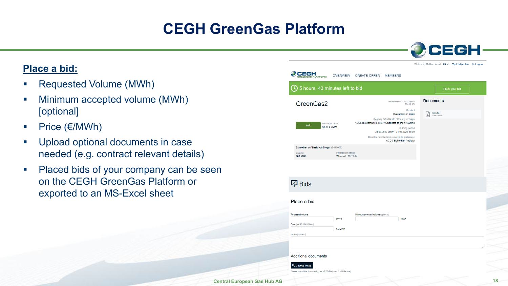### **Place a bid:**

- Requested Volume (MWh)
- **Minimum accepted volume (MWh)** [optional]
- Price  $(\epsilon/MWh)$
- **Upload optional documents in case** needed (e.g. contract relevant details)
- **Placed bids of your company can be seen** on the CEGH GreenGas Platform or exported to an MS-Excel sheet

|                                                                                        |                                          |                                    |                                                                                                                                                                                                                                                                                             | Welcome, Müller Bernd $EN \vee$ $\Phi_{\Phi}$ Edit profile $[+$ Logout |                |  |
|----------------------------------------------------------------------------------------|------------------------------------------|------------------------------------|---------------------------------------------------------------------------------------------------------------------------------------------------------------------------------------------------------------------------------------------------------------------------------------------|------------------------------------------------------------------------|----------------|--|
| 2EGH<br><b>ATFORM</b>                                                                  | <b>OVERVIEW</b>                          | <b>CREATE OFFER</b>                | <b>MEMBERS</b>                                                                                                                                                                                                                                                                              |                                                                        |                |  |
| 5 hours, 43 minutes left to bid                                                        |                                          |                                    |                                                                                                                                                                                                                                                                                             |                                                                        | Place your bid |  |
| GreenGas2                                                                              |                                          |                                    | Publication date: 31.03.2022 09:05<br>Offer ID: 673                                                                                                                                                                                                                                         | <b>Documents</b>                                                       |                |  |
| <b>Ask</b>                                                                             | Minimum price<br>90.00 € / MWh           |                                    | Product<br>Guarantees of origin<br>Registry / Certificate / Country of origin<br>AGCS BioMethan Register / Certificate of origin / Austria<br><b>Bidding period</b><br>31.03.2022 09:07 - 31.03.2022 15:00<br>Registry membership required to participate<br><b>AGCS BioMethan Register</b> | Excuse<br>屆<br>(19551 Bytes)                                           |                |  |
| Biomethan auf Basis von Biogas (B110000)<br>Volume<br><b>100 MWh</b>                   | Production period<br>01.07.22 - 15.10.22 |                                    |                                                                                                                                                                                                                                                                                             |                                                                        |                |  |
|                                                                                        |                                          |                                    |                                                                                                                                                                                                                                                                                             |                                                                        |                |  |
| 모 Bids                                                                                 |                                          |                                    |                                                                                                                                                                                                                                                                                             |                                                                        |                |  |
| Place a bid                                                                            |                                          |                                    |                                                                                                                                                                                                                                                                                             |                                                                        |                |  |
| Requested volume                                                                       | <b>MWh</b>                               | Minimum accepted volume (optional) | <b>MV/h</b>                                                                                                                                                                                                                                                                                 |                                                                        |                |  |
| Price (>= 90.00 € / MWh)<br>Notice (optional)                                          | €/MWh                                    |                                    |                                                                                                                                                                                                                                                                                             |                                                                        |                |  |
|                                                                                        |                                          |                                    |                                                                                                                                                                                                                                                                                             |                                                                        |                |  |
| <b>Additional documents</b>                                                            |                                          |                                    |                                                                                                                                                                                                                                                                                             |                                                                        |                |  |
| Q Choose file(s)<br>Please upload the document(s) as a PDF-file (max. 5 MB file size). |                                          |                                    |                                                                                                                                                                                                                                                                                             |                                                                        |                |  |

CEGH

**Central European Gas Hub AG**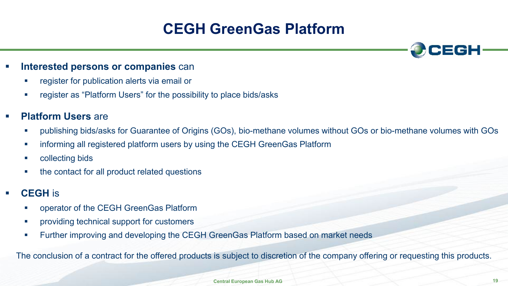

- register for publication alerts via email or
- **•** register as "Platform Users" for the possibility to place bids/asks

### **Platform Users** are

- publishing bids/asks for Guarantee of Origins (GOs), bio-methane volumes without GOs or bio-methane volumes with GOs
- **EXEDENT Informing all registered platform users by using the CEGH GreenGas Platform**
- **•** collecting bids
- the contact for all product related questions
- **CEGH** is
	- operator of the CEGH GreenGas Platform
	- **•** providing technical support for customers
	- Further improving and developing the CEGH GreenGas Platform based on market needs

The conclusion of a contract for the offered products is subject to discretion of the company offering or requesting this products.

CEGH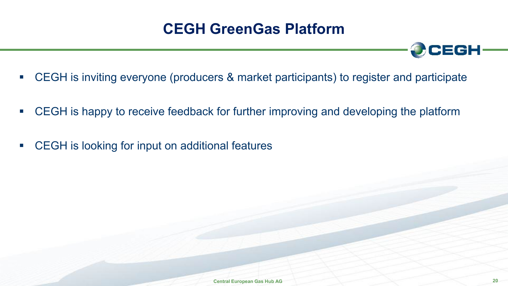

- CEGH is inviting everyone (producers & market participants) to register and participate
- CEGH is happy to receive feedback for further improving and developing the platform
- CEGH is looking for input on additional features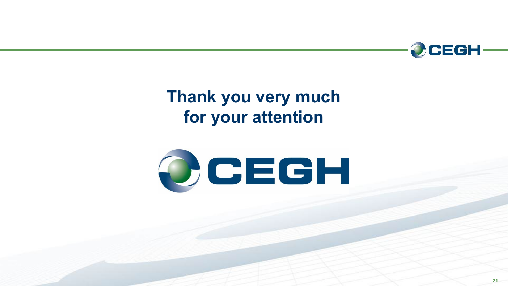

# **Thank you very much for your attention**